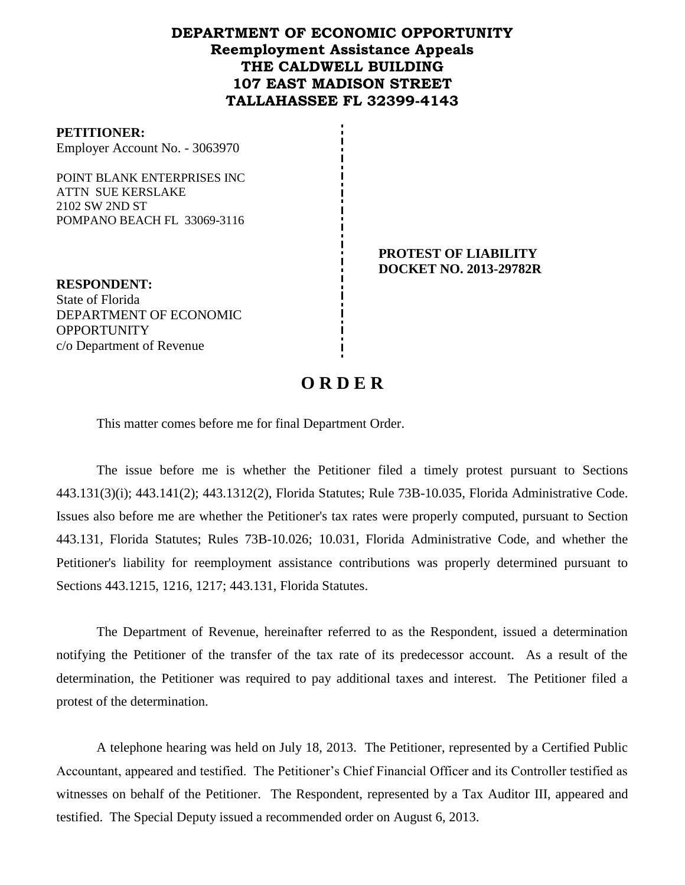# **DEPARTMENT OF ECONOMIC OPPORTUNITY Reemployment Assistance Appeals THE CALDWELL BUILDING 107 EAST MADISON STREET TALLAHASSEE FL 32399-4143**

#### **PETITIONER:**

Employer Account No. - 3063970

POINT BLANK ENTERPRISES INC ATTN SUE KERSLAKE 2102 SW 2ND ST POMPANO BEACH FL 33069-3116

> **PROTEST OF LIABILITY DOCKET NO. 2013-29782R**

**RESPONDENT:** State of Florida DEPARTMENT OF ECONOMIC **OPPORTUNITY** c/o Department of Revenue

# **O R D E R**

This matter comes before me for final Department Order.

The issue before me is whether the Petitioner filed a timely protest pursuant to Sections 443.131(3)(i); 443.141(2); 443.1312(2), Florida Statutes; Rule 73B-10.035, Florida Administrative Code. Issues also before me are whether the Petitioner's tax rates were properly computed, pursuant to Section 443.131, Florida Statutes; Rules 73B-10.026; 10.031, Florida Administrative Code, and whether the Petitioner's liability for reemployment assistance contributions was properly determined pursuant to Sections 443.1215, 1216, 1217; 443.131, Florida Statutes.

The Department of Revenue, hereinafter referred to as the Respondent, issued a determination notifying the Petitioner of the transfer of the tax rate of its predecessor account. As a result of the determination, the Petitioner was required to pay additional taxes and interest. The Petitioner filed a protest of the determination.

A telephone hearing was held on July 18, 2013.The Petitioner, represented by a Certified Public Accountant, appeared and testified. The Petitioner's Chief Financial Officer and its Controller testified as witnesses on behalf of the Petitioner. The Respondent, represented by a Tax Auditor III, appeared and testified. The Special Deputy issued a recommended order on August 6, 2013.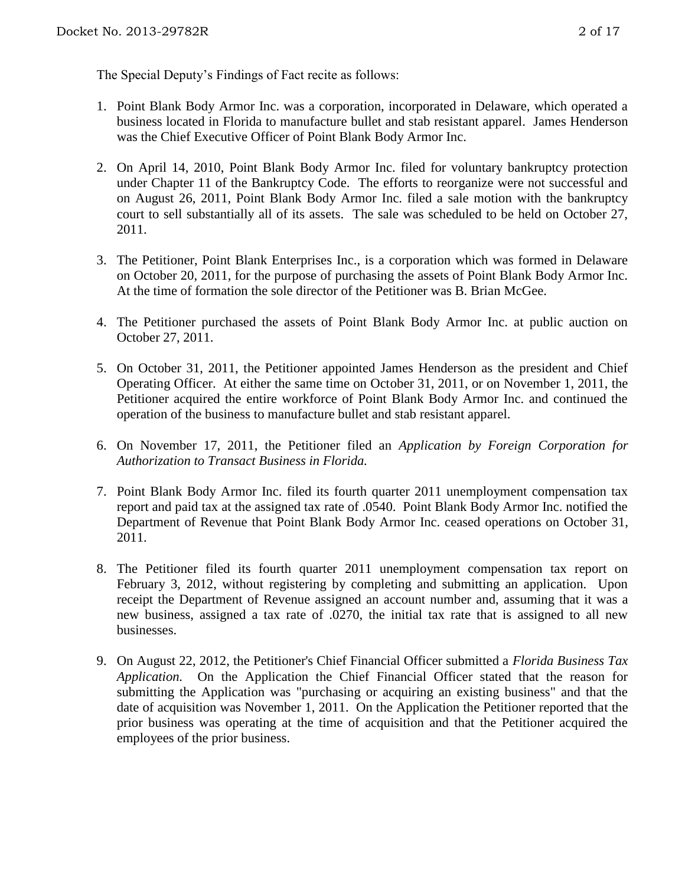The Special Deputy's Findings of Fact recite as follows:

- 1. Point Blank Body Armor Inc. was a corporation, incorporated in Delaware, which operated a business located in Florida to manufacture bullet and stab resistant apparel. James Henderson was the Chief Executive Officer of Point Blank Body Armor Inc.
- 2. On April 14, 2010, Point Blank Body Armor Inc. filed for voluntary bankruptcy protection under Chapter 11 of the Bankruptcy Code. The efforts to reorganize were not successful and on August 26, 2011, Point Blank Body Armor Inc. filed a sale motion with the bankruptcy court to sell substantially all of its assets. The sale was scheduled to be held on October 27, 2011.
- 3. The Petitioner, Point Blank Enterprises Inc., is a corporation which was formed in Delaware on October 20, 2011, for the purpose of purchasing the assets of Point Blank Body Armor Inc. At the time of formation the sole director of the Petitioner was B. Brian McGee.
- 4. The Petitioner purchased the assets of Point Blank Body Armor Inc. at public auction on October 27, 2011.
- 5. On October 31, 2011, the Petitioner appointed James Henderson as the president and Chief Operating Officer. At either the same time on October 31, 2011, or on November 1, 2011, the Petitioner acquired the entire workforce of Point Blank Body Armor Inc. and continued the operation of the business to manufacture bullet and stab resistant apparel.
- 6. On November 17, 2011, the Petitioner filed an *Application by Foreign Corporation for Authorization to Transact Business in Florida.*
- 7. Point Blank Body Armor Inc. filed its fourth quarter 2011 unemployment compensation tax report and paid tax at the assigned tax rate of .0540. Point Blank Body Armor Inc. notified the Department of Revenue that Point Blank Body Armor Inc. ceased operations on October 31, 2011.
- 8. The Petitioner filed its fourth quarter 2011 unemployment compensation tax report on February 3, 2012, without registering by completing and submitting an application. Upon receipt the Department of Revenue assigned an account number and, assuming that it was a new business, assigned a tax rate of .0270, the initial tax rate that is assigned to all new businesses.
- 9. On August 22, 2012, the Petitioner's Chief Financial Officer submitted a *Florida Business Tax Application.* On the Application the Chief Financial Officer stated that the reason for submitting the Application was "purchasing or acquiring an existing business" and that the date of acquisition was November 1, 2011. On the Application the Petitioner reported that the prior business was operating at the time of acquisition and that the Petitioner acquired the employees of the prior business.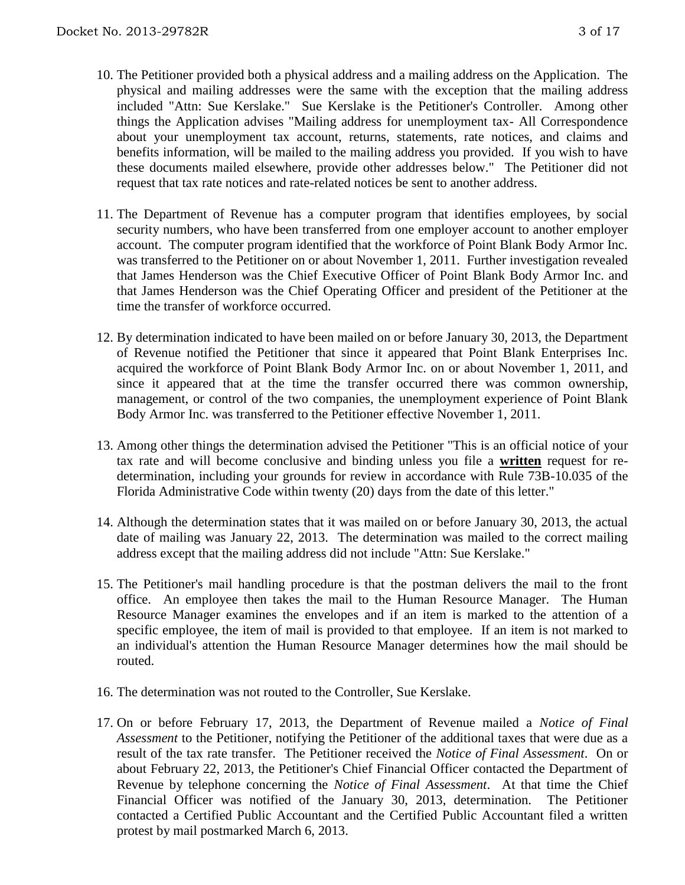- 10. The Petitioner provided both a physical address and a mailing address on the Application. The physical and mailing addresses were the same with the exception that the mailing address included "Attn: Sue Kerslake." Sue Kerslake is the Petitioner's Controller. Among other things the Application advises "Mailing address for unemployment tax- All Correspondence about your unemployment tax account, returns, statements, rate notices, and claims and benefits information, will be mailed to the mailing address you provided. If you wish to have these documents mailed elsewhere, provide other addresses below." The Petitioner did not request that tax rate notices and rate-related notices be sent to another address.
- 11. The Department of Revenue has a computer program that identifies employees, by social security numbers, who have been transferred from one employer account to another employer account. The computer program identified that the workforce of Point Blank Body Armor Inc. was transferred to the Petitioner on or about November 1, 2011. Further investigation revealed that James Henderson was the Chief Executive Officer of Point Blank Body Armor Inc. and that James Henderson was the Chief Operating Officer and president of the Petitioner at the time the transfer of workforce occurred.
- 12. By determination indicated to have been mailed on or before January 30, 2013, the Department of Revenue notified the Petitioner that since it appeared that Point Blank Enterprises Inc. acquired the workforce of Point Blank Body Armor Inc. on or about November 1, 2011, and since it appeared that at the time the transfer occurred there was common ownership, management, or control of the two companies, the unemployment experience of Point Blank Body Armor Inc. was transferred to the Petitioner effective November 1, 2011.
- 13. Among other things the determination advised the Petitioner "This is an official notice of your tax rate and will become conclusive and binding unless you file a **written** request for redetermination, including your grounds for review in accordance with Rule 73B-10.035 of the Florida Administrative Code within twenty (20) days from the date of this letter."
- 14. Although the determination states that it was mailed on or before January 30, 2013, the actual date of mailing was January 22, 2013. The determination was mailed to the correct mailing address except that the mailing address did not include "Attn: Sue Kerslake."
- 15. The Petitioner's mail handling procedure is that the postman delivers the mail to the front office. An employee then takes the mail to the Human Resource Manager. The Human Resource Manager examines the envelopes and if an item is marked to the attention of a specific employee, the item of mail is provided to that employee. If an item is not marked to an individual's attention the Human Resource Manager determines how the mail should be routed.
- 16. The determination was not routed to the Controller, Sue Kerslake.
- 17. On or before February 17, 2013, the Department of Revenue mailed a *Notice of Final Assessment* to the Petitioner, notifying the Petitioner of the additional taxes that were due as a result of the tax rate transfer. The Petitioner received the *Notice of Final Assessment*. On or about February 22, 2013, the Petitioner's Chief Financial Officer contacted the Department of Revenue by telephone concerning the *Notice of Final Assessment*. At that time the Chief Financial Officer was notified of the January 30, 2013, determination. The Petitioner contacted a Certified Public Accountant and the Certified Public Accountant filed a written protest by mail postmarked March 6, 2013.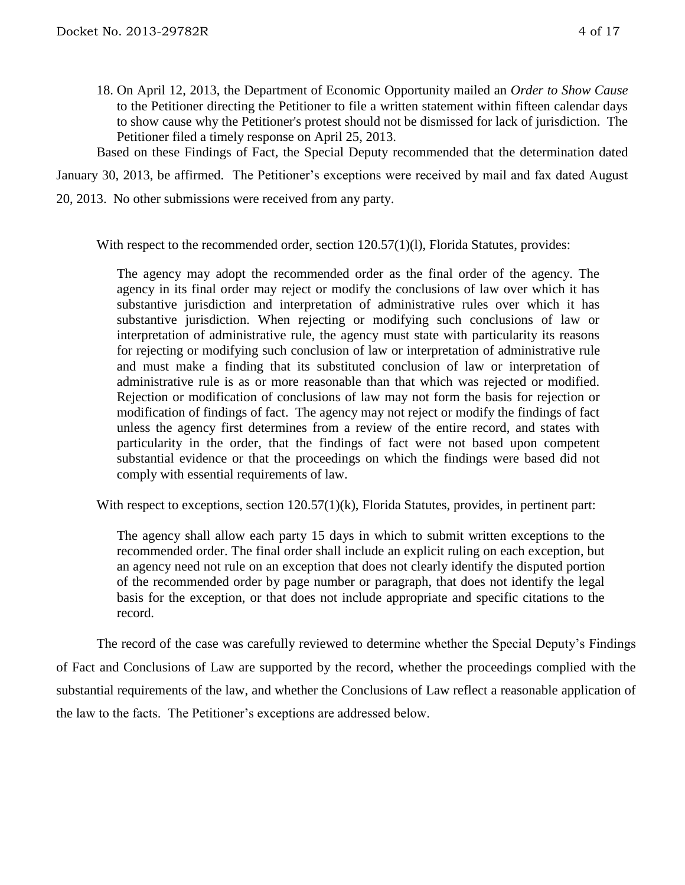18. On April 12, 2013, the Department of Economic Opportunity mailed an *Order to Show Cause* to the Petitioner directing the Petitioner to file a written statement within fifteen calendar days to show cause why the Petitioner's protest should not be dismissed for lack of jurisdiction. The Petitioner filed a timely response on April 25, 2013.

Based on these Findings of Fact, the Special Deputy recommended that the determination dated

January 30, 2013, be affirmed. The Petitioner's exceptions were received by mail and fax dated August 20, 2013. No other submissions were received from any party.

With respect to the recommended order, section 120.57(1)(1), Florida Statutes, provides:

The agency may adopt the recommended order as the final order of the agency. The agency in its final order may reject or modify the conclusions of law over which it has substantive jurisdiction and interpretation of administrative rules over which it has substantive jurisdiction. When rejecting or modifying such conclusions of law or interpretation of administrative rule, the agency must state with particularity its reasons for rejecting or modifying such conclusion of law or interpretation of administrative rule and must make a finding that its substituted conclusion of law or interpretation of administrative rule is as or more reasonable than that which was rejected or modified. Rejection or modification of conclusions of law may not form the basis for rejection or modification of findings of fact. The agency may not reject or modify the findings of fact unless the agency first determines from a review of the entire record, and states with particularity in the order, that the findings of fact were not based upon competent substantial evidence or that the proceedings on which the findings were based did not comply with essential requirements of law.

With respect to exceptions, section  $120.57(1)(k)$ , Florida Statutes, provides, in pertinent part:

The agency shall allow each party 15 days in which to submit written exceptions to the recommended order. The final order shall include an explicit ruling on each exception, but an agency need not rule on an exception that does not clearly identify the disputed portion of the recommended order by page number or paragraph, that does not identify the legal basis for the exception, or that does not include appropriate and specific citations to the record.

The record of the case was carefully reviewed to determine whether the Special Deputy's Findings of Fact and Conclusions of Law are supported by the record, whether the proceedings complied with the substantial requirements of the law, and whether the Conclusions of Law reflect a reasonable application of the law to the facts. The Petitioner's exceptions are addressed below.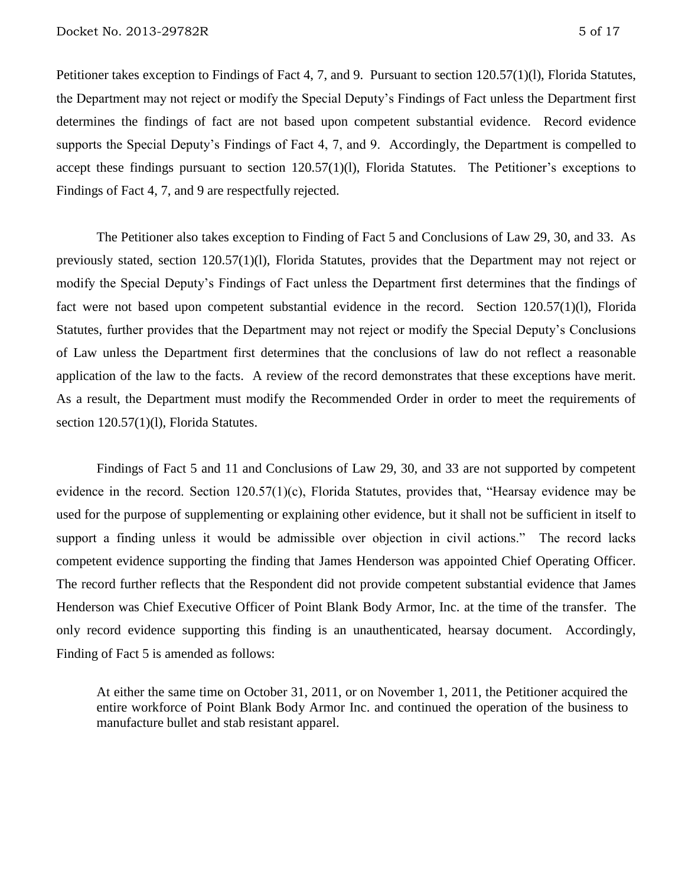Petitioner takes exception to Findings of Fact 4, 7, and 9. Pursuant to section 120.57(1)(l), Florida Statutes, the Department may not reject or modify the Special Deputy's Findings of Fact unless the Department first determines the findings of fact are not based upon competent substantial evidence. Record evidence supports the Special Deputy's Findings of Fact 4, 7, and 9. Accordingly, the Department is compelled to accept these findings pursuant to section 120.57(1)(l), Florida Statutes. The Petitioner's exceptions to Findings of Fact 4, 7, and 9 are respectfully rejected.

The Petitioner also takes exception to Finding of Fact 5 and Conclusions of Law 29, 30, and 33. As previously stated, section 120.57(1)(l), Florida Statutes, provides that the Department may not reject or modify the Special Deputy's Findings of Fact unless the Department first determines that the findings of fact were not based upon competent substantial evidence in the record. Section 120.57(1)(l), Florida Statutes, further provides that the Department may not reject or modify the Special Deputy's Conclusions of Law unless the Department first determines that the conclusions of law do not reflect a reasonable application of the law to the facts. A review of the record demonstrates that these exceptions have merit. As a result, the Department must modify the Recommended Order in order to meet the requirements of section 120.57(1)(1), Florida Statutes.

Findings of Fact 5 and 11 and Conclusions of Law 29, 30, and 33 are not supported by competent evidence in the record. Section 120.57(1)(c), Florida Statutes, provides that, "Hearsay evidence may be used for the purpose of supplementing or explaining other evidence, but it shall not be sufficient in itself to support a finding unless it would be admissible over objection in civil actions." The record lacks competent evidence supporting the finding that James Henderson was appointed Chief Operating Officer. The record further reflects that the Respondent did not provide competent substantial evidence that James Henderson was Chief Executive Officer of Point Blank Body Armor, Inc. at the time of the transfer. The only record evidence supporting this finding is an unauthenticated, hearsay document. Accordingly, Finding of Fact 5 is amended as follows:

At either the same time on October 31, 2011, or on November 1, 2011, the Petitioner acquired the entire workforce of Point Blank Body Armor Inc. and continued the operation of the business to manufacture bullet and stab resistant apparel.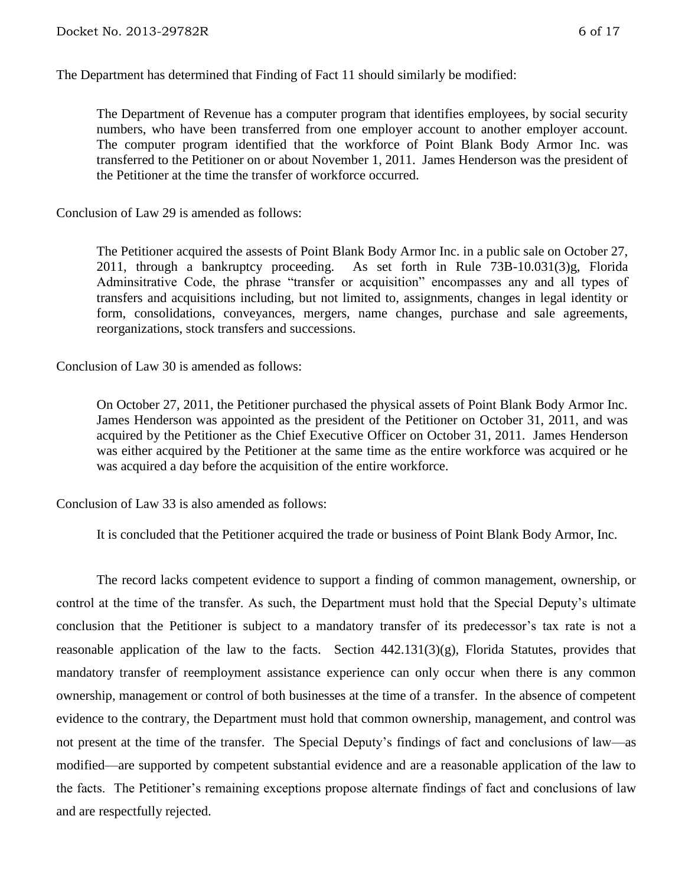The Department has determined that Finding of Fact 11 should similarly be modified:

The Department of Revenue has a computer program that identifies employees, by social security numbers, who have been transferred from one employer account to another employer account. The computer program identified that the workforce of Point Blank Body Armor Inc. was transferred to the Petitioner on or about November 1, 2011. James Henderson was the president of the Petitioner at the time the transfer of workforce occurred.

Conclusion of Law 29 is amended as follows:

The Petitioner acquired the assests of Point Blank Body Armor Inc. in a public sale on October 27, 2011, through a bankruptcy proceeding. As set forth in Rule 73B-10.031(3)g, Florida Adminsitrative Code, the phrase "transfer or acquisition" encompasses any and all types of transfers and acquisitions including, but not limited to, assignments, changes in legal identity or form, consolidations, conveyances, mergers, name changes, purchase and sale agreements, reorganizations, stock transfers and successions.

Conclusion of Law 30 is amended as follows:

On October 27, 2011, the Petitioner purchased the physical assets of Point Blank Body Armor Inc. James Henderson was appointed as the president of the Petitioner on October 31, 2011, and was acquired by the Petitioner as the Chief Executive Officer on October 31, 2011. James Henderson was either acquired by the Petitioner at the same time as the entire workforce was acquired or he was acquired a day before the acquisition of the entire workforce.

Conclusion of Law 33 is also amended as follows:

It is concluded that the Petitioner acquired the trade or business of Point Blank Body Armor, Inc.

The record lacks competent evidence to support a finding of common management, ownership, or control at the time of the transfer. As such, the Department must hold that the Special Deputy's ultimate conclusion that the Petitioner is subject to a mandatory transfer of its predecessor's tax rate is not a reasonable application of the law to the facts. Section 442.131(3)(g), Florida Statutes, provides that mandatory transfer of reemployment assistance experience can only occur when there is any common ownership, management or control of both businesses at the time of a transfer. In the absence of competent evidence to the contrary, the Department must hold that common ownership, management, and control was not present at the time of the transfer. The Special Deputy's findings of fact and conclusions of law—as modified—are supported by competent substantial evidence and are a reasonable application of the law to the facts. The Petitioner's remaining exceptions propose alternate findings of fact and conclusions of law and are respectfully rejected.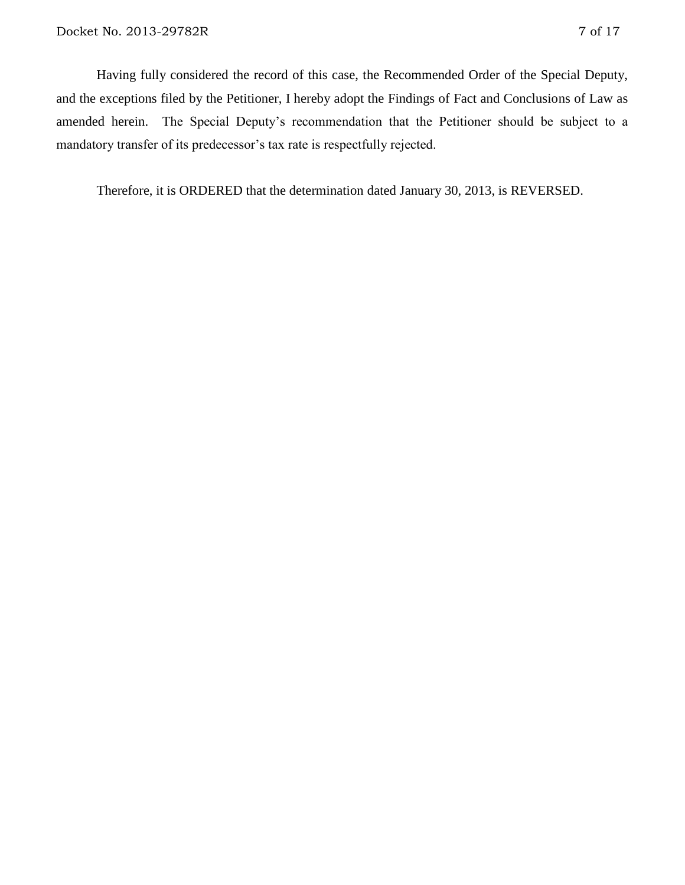Having fully considered the record of this case, the Recommended Order of the Special Deputy, and the exceptions filed by the Petitioner, I hereby adopt the Findings of Fact and Conclusions of Law as amended herein. The Special Deputy's recommendation that the Petitioner should be subject to a mandatory transfer of its predecessor's tax rate is respectfully rejected.

Therefore, it is ORDERED that the determination dated January 30, 2013, is REVERSED.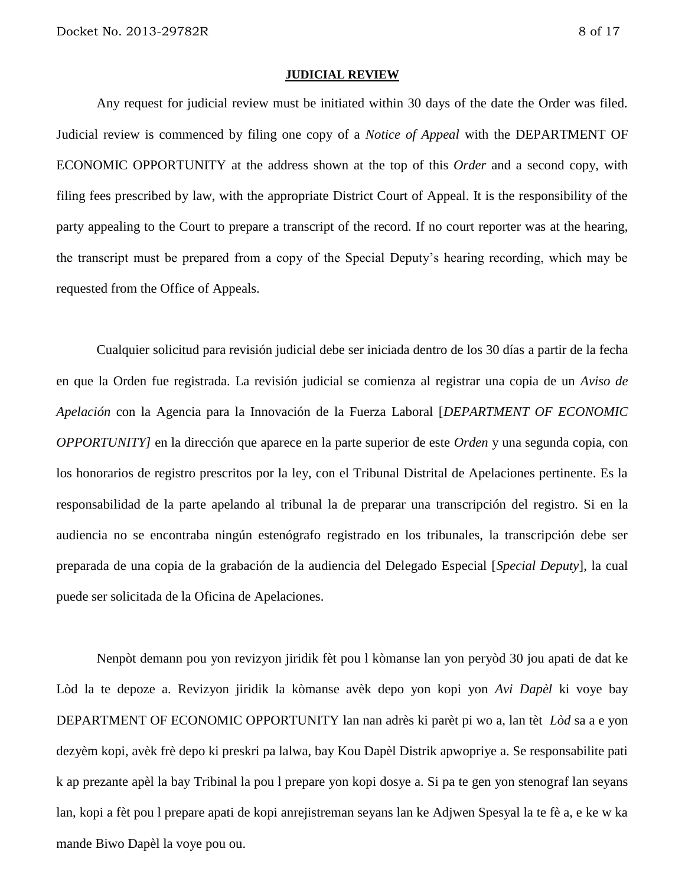#### **JUDICIAL REVIEW**

Any request for judicial review must be initiated within 30 days of the date the Order was filed. Judicial review is commenced by filing one copy of a *Notice of Appeal* with the DEPARTMENT OF ECONOMIC OPPORTUNITY at the address shown at the top of this *Order* and a second copy, with filing fees prescribed by law, with the appropriate District Court of Appeal. It is the responsibility of the party appealing to the Court to prepare a transcript of the record. If no court reporter was at the hearing, the transcript must be prepared from a copy of the Special Deputy's hearing recording, which may be requested from the Office of Appeals.

Cualquier solicitud para revisión judicial debe ser iniciada dentro de los 30 días a partir de la fecha en que la Orden fue registrada. La revisión judicial se comienza al registrar una copia de un *Aviso de Apelación* con la Agencia para la Innovación de la Fuerza Laboral [*DEPARTMENT OF ECONOMIC OPPORTUNITY]* en la dirección que aparece en la parte superior de este *Orden* y una segunda copia, con los honorarios de registro prescritos por la ley, con el Tribunal Distrital de Apelaciones pertinente. Es la responsabilidad de la parte apelando al tribunal la de preparar una transcripción del registro. Si en la audiencia no se encontraba ningún estenógrafo registrado en los tribunales, la transcripción debe ser preparada de una copia de la grabación de la audiencia del Delegado Especial [*Special Deputy*], la cual puede ser solicitada de la Oficina de Apelaciones.

Nenpòt demann pou yon revizyon jiridik fèt pou l kòmanse lan yon peryòd 30 jou apati de dat ke Lòd la te depoze a. Revizyon jiridik la kòmanse avèk depo yon kopi yon *Avi Dapèl* ki voye bay DEPARTMENT OF ECONOMIC OPPORTUNITY lan nan adrès ki parèt pi wo a, lan tèt *Lòd* sa a e yon dezyèm kopi, avèk frè depo ki preskri pa lalwa, bay Kou Dapèl Distrik apwopriye a. Se responsabilite pati k ap prezante apèl la bay Tribinal la pou l prepare yon kopi dosye a. Si pa te gen yon stenograf lan seyans lan, kopi a fèt pou l prepare apati de kopi anrejistreman seyans lan ke Adjwen Spesyal la te fè a, e ke w ka mande Biwo Dapèl la voye pou ou.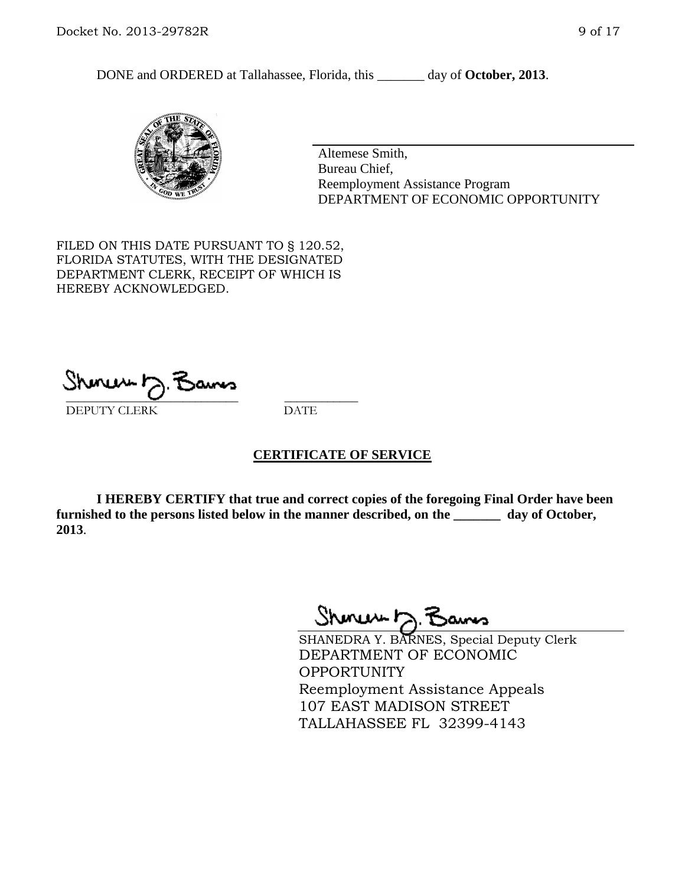DONE and ORDERED at Tallahassee, Florida, this \_\_\_\_\_\_\_ day of **October, 2013**.



Altemese Smith, Bureau Chief, Reemployment Assistance Program DEPARTMENT OF ECONOMIC OPPORTUNITY

FILED ON THIS DATE PURSUANT TO § 120.52, FLORIDA STATUTES, WITH THE DESIGNATED DEPARTMENT CLERK, RECEIPT OF WHICH IS HEREBY ACKNOWLEDGED.

ا سرور س \_\_\_\_\_\_\_\_\_\_\_\_\_\_\_\_\_\_\_\_\_\_\_\_\_\_\_\_ \_\_\_\_\_\_\_\_\_\_\_\_ DEPUTY CLERK DATE

### **CERTIFICATE OF SERVICE**

**I HEREBY CERTIFY that true and correct copies of the foregoing Final Order have been furnished to the persons listed below in the manner described, on the \_\_\_\_\_\_\_ day of October, 2013**.

Shoneser

SHANEDRA Y. BARNES, Special Deputy Clerk DEPARTMENT OF ECONOMIC **OPPORTUNITY** Reemployment Assistance Appeals 107 EAST MADISON STREET TALLAHASSEE FL 32399-4143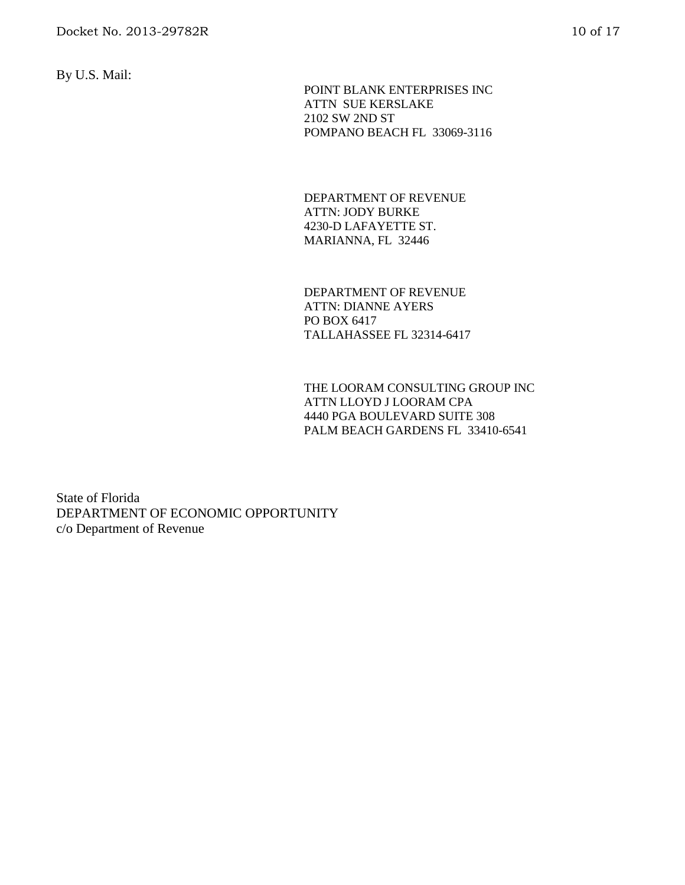By U.S. Mail:

 POINT BLANK ENTERPRISES INC ATTN SUE KERSLAKE 2102 SW 2ND ST POMPANO BEACH FL 33069-3116

DEPARTMENT OF REVENUE ATTN: JODY BURKE 4230-D LAFAYETTE ST. MARIANNA, FL 32446

DEPARTMENT OF REVENUE ATTN: DIANNE AYERS PO BOX 6417 TALLAHASSEE FL 32314-6417

THE LOORAM CONSULTING GROUP INC ATTN LLOYD J LOORAM CPA 4440 PGA BOULEVARD SUITE 308 PALM BEACH GARDENS FL 33410-6541

State of Florida DEPARTMENT OF ECONOMIC OPPORTUNITY c/o Department of Revenue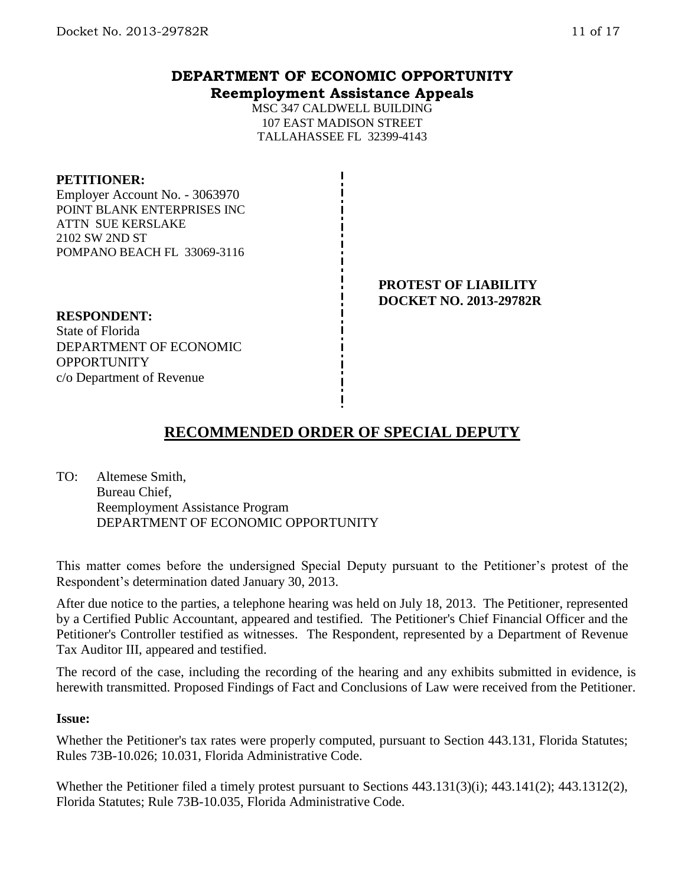# **DEPARTMENT OF ECONOMIC OPPORTUNITY Reemployment Assistance Appeals**

MSC 347 CALDWELL BUILDING 107 EAST MADISON STREET TALLAHASSEE FL 32399-4143

#### **PETITIONER:**

Employer Account No. - 3063970 POINT BLANK ENTERPRISES INC ATTN SUE KERSLAKE 2102 SW 2ND ST POMPANO BEACH FL 33069-3116

#### **PROTEST OF LIABILITY DOCKET NO. 2013-29782R**

#### **RESPONDENT:** State of Florida DEPARTMENT OF ECONOMIC **OPPORTUNITY**

c/o Department of Revenue

# **RECOMMENDED ORDER OF SPECIAL DEPUTY**

TO: Altemese Smith, Bureau Chief, Reemployment Assistance Program DEPARTMENT OF ECONOMIC OPPORTUNITY

This matter comes before the undersigned Special Deputy pursuant to the Petitioner's protest of the Respondent's determination dated January 30, 2013.

After due notice to the parties, a telephone hearing was held on July 18, 2013. The Petitioner, represented by a Certified Public Accountant, appeared and testified. The Petitioner's Chief Financial Officer and the Petitioner's Controller testified as witnesses. The Respondent, represented by a Department of Revenue Tax Auditor III, appeared and testified.

The record of the case, including the recording of the hearing and any exhibits submitted in evidence, is herewith transmitted. Proposed Findings of Fact and Conclusions of Law were received from the Petitioner.

### **Issue:**

Whether the Petitioner's tax rates were properly computed, pursuant to Section 443.131, Florida Statutes; Rules 73B-10.026; 10.031, Florida Administrative Code.

Whether the Petitioner filed a timely protest pursuant to Sections 443.131(3)(i); 443.141(2); 443.1312(2), Florida Statutes; Rule 73B-10.035, Florida Administrative Code.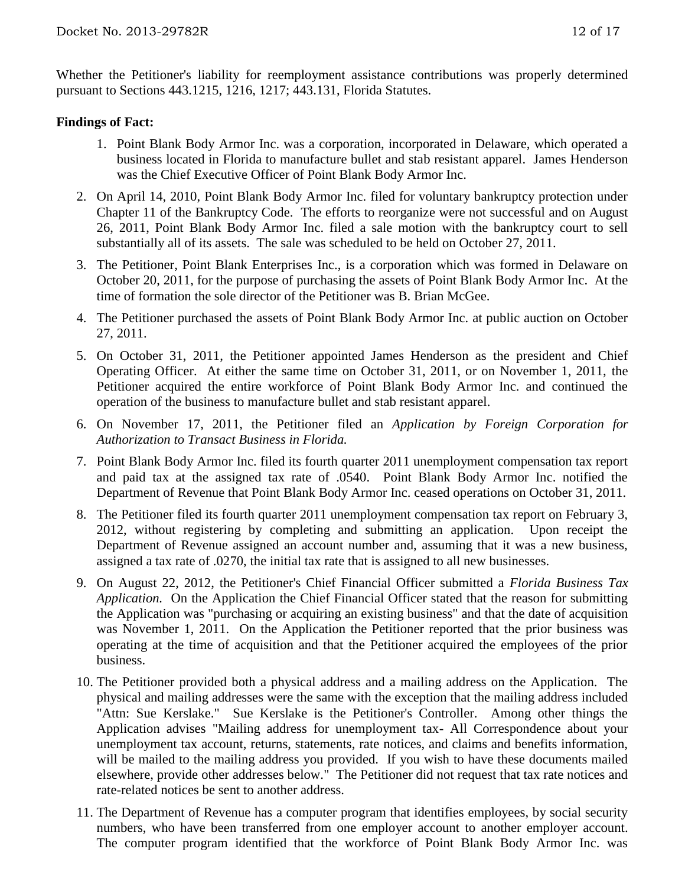Whether the Petitioner's liability for reemployment assistance contributions was properly determined pursuant to Sections 443.1215, 1216, 1217; 443.131, Florida Statutes.

## **Findings of Fact:**

- 1. Point Blank Body Armor Inc. was a corporation, incorporated in Delaware, which operated a business located in Florida to manufacture bullet and stab resistant apparel. James Henderson was the Chief Executive Officer of Point Blank Body Armor Inc.
- 2. On April 14, 2010, Point Blank Body Armor Inc. filed for voluntary bankruptcy protection under Chapter 11 of the Bankruptcy Code. The efforts to reorganize were not successful and on August 26, 2011, Point Blank Body Armor Inc. filed a sale motion with the bankruptcy court to sell substantially all of its assets. The sale was scheduled to be held on October 27, 2011.
- 3. The Petitioner, Point Blank Enterprises Inc., is a corporation which was formed in Delaware on October 20, 2011, for the purpose of purchasing the assets of Point Blank Body Armor Inc. At the time of formation the sole director of the Petitioner was B. Brian McGee.
- 4. The Petitioner purchased the assets of Point Blank Body Armor Inc. at public auction on October 27, 2011.
- 5. On October 31, 2011, the Petitioner appointed James Henderson as the president and Chief Operating Officer. At either the same time on October 31, 2011, or on November 1, 2011, the Petitioner acquired the entire workforce of Point Blank Body Armor Inc. and continued the operation of the business to manufacture bullet and stab resistant apparel.
- 6. On November 17, 2011, the Petitioner filed an *Application by Foreign Corporation for Authorization to Transact Business in Florida.*
- 7. Point Blank Body Armor Inc. filed its fourth quarter 2011 unemployment compensation tax report and paid tax at the assigned tax rate of .0540. Point Blank Body Armor Inc. notified the Department of Revenue that Point Blank Body Armor Inc. ceased operations on October 31, 2011.
- 8. The Petitioner filed its fourth quarter 2011 unemployment compensation tax report on February 3, 2012, without registering by completing and submitting an application. Upon receipt the Department of Revenue assigned an account number and, assuming that it was a new business, assigned a tax rate of .0270, the initial tax rate that is assigned to all new businesses.
- 9. On August 22, 2012, the Petitioner's Chief Financial Officer submitted a *Florida Business Tax Application.* On the Application the Chief Financial Officer stated that the reason for submitting the Application was "purchasing or acquiring an existing business" and that the date of acquisition was November 1, 2011. On the Application the Petitioner reported that the prior business was operating at the time of acquisition and that the Petitioner acquired the employees of the prior business.
- 10. The Petitioner provided both a physical address and a mailing address on the Application. The physical and mailing addresses were the same with the exception that the mailing address included "Attn: Sue Kerslake." Sue Kerslake is the Petitioner's Controller. Among other things the Application advises "Mailing address for unemployment tax- All Correspondence about your unemployment tax account, returns, statements, rate notices, and claims and benefits information, will be mailed to the mailing address you provided. If you wish to have these documents mailed elsewhere, provide other addresses below." The Petitioner did not request that tax rate notices and rate-related notices be sent to another address.
- 11. The Department of Revenue has a computer program that identifies employees, by social security numbers, who have been transferred from one employer account to another employer account. The computer program identified that the workforce of Point Blank Body Armor Inc. was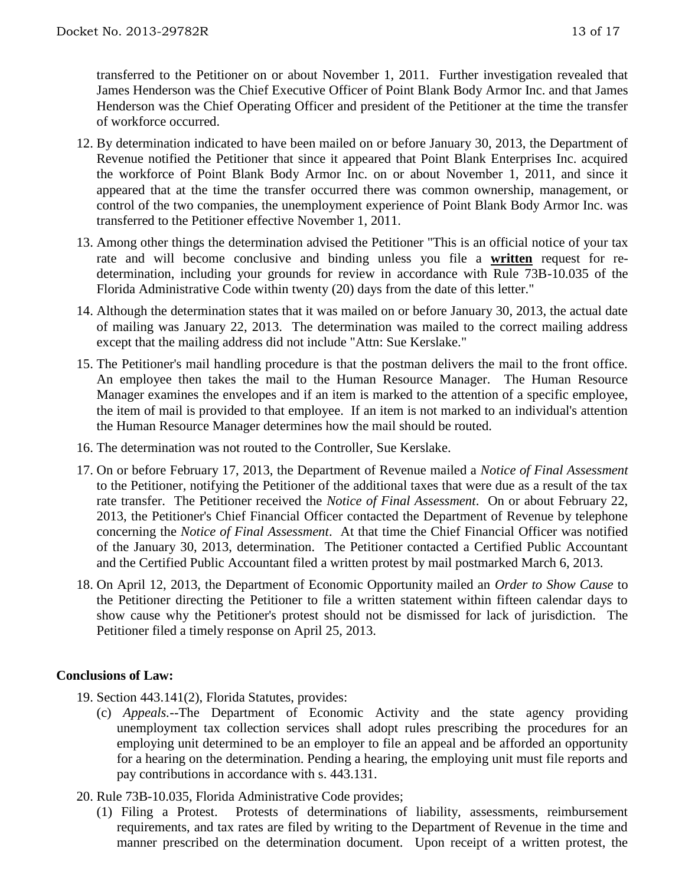transferred to the Petitioner on or about November 1, 2011. Further investigation revealed that James Henderson was the Chief Executive Officer of Point Blank Body Armor Inc. and that James Henderson was the Chief Operating Officer and president of the Petitioner at the time the transfer of workforce occurred.

- 12. By determination indicated to have been mailed on or before January 30, 2013, the Department of Revenue notified the Petitioner that since it appeared that Point Blank Enterprises Inc. acquired the workforce of Point Blank Body Armor Inc. on or about November 1, 2011, and since it appeared that at the time the transfer occurred there was common ownership, management, or control of the two companies, the unemployment experience of Point Blank Body Armor Inc. was transferred to the Petitioner effective November 1, 2011.
- 13. Among other things the determination advised the Petitioner "This is an official notice of your tax rate and will become conclusive and binding unless you file a **written** request for redetermination, including your grounds for review in accordance with Rule 73B-10.035 of the Florida Administrative Code within twenty (20) days from the date of this letter."
- 14. Although the determination states that it was mailed on or before January 30, 2013, the actual date of mailing was January 22, 2013. The determination was mailed to the correct mailing address except that the mailing address did not include "Attn: Sue Kerslake."
- 15. The Petitioner's mail handling procedure is that the postman delivers the mail to the front office. An employee then takes the mail to the Human Resource Manager. The Human Resource Manager examines the envelopes and if an item is marked to the attention of a specific employee, the item of mail is provided to that employee. If an item is not marked to an individual's attention the Human Resource Manager determines how the mail should be routed.
- 16. The determination was not routed to the Controller, Sue Kerslake.
- 17. On or before February 17, 2013, the Department of Revenue mailed a *Notice of Final Assessment*  to the Petitioner, notifying the Petitioner of the additional taxes that were due as a result of the tax rate transfer. The Petitioner received the *Notice of Final Assessment*. On or about February 22, 2013, the Petitioner's Chief Financial Officer contacted the Department of Revenue by telephone concerning the *Notice of Final Assessment*. At that time the Chief Financial Officer was notified of the January 30, 2013, determination. The Petitioner contacted a Certified Public Accountant and the Certified Public Accountant filed a written protest by mail postmarked March 6, 2013.
- 18. On April 12, 2013, the Department of Economic Opportunity mailed an *Order to Show Cause* to the Petitioner directing the Petitioner to file a written statement within fifteen calendar days to show cause why the Petitioner's protest should not be dismissed for lack of jurisdiction. The Petitioner filed a timely response on April 25, 2013.

## **Conclusions of Law:**

- 19. Section 443.141(2), Florida Statutes, provides:
	- (c) *Appeals.*--The Department of Economic Activity and the state agency providing unemployment tax collection services shall adopt rules prescribing the procedures for an employing unit determined to be an employer to file an appeal and be afforded an opportunity for a hearing on the determination. Pending a hearing, the employing unit must file reports and pay contributions in accordance with s. 443.131.
- 20. Rule 73B-10.035, Florida Administrative Code provides;
	- (1) Filing a Protest. Protests of determinations of liability, assessments, reimbursement requirements, and tax rates are filed by writing to the Department of Revenue in the time and manner prescribed on the determination document. Upon receipt of a written protest, the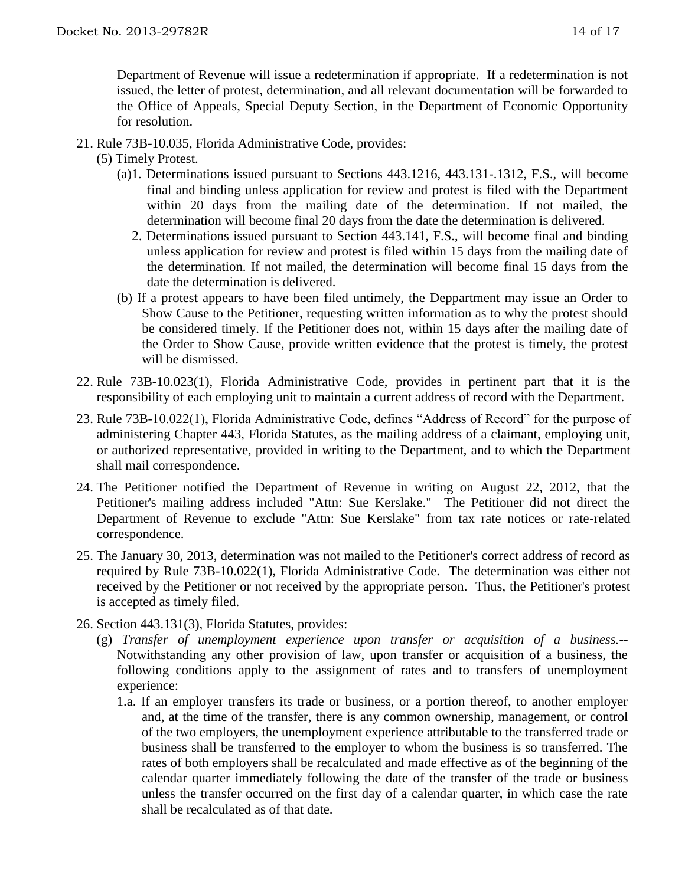Department of Revenue will issue a redetermination if appropriate. If a redetermination is not issued, the letter of protest, determination, and all relevant documentation will be forwarded to the Office of Appeals, Special Deputy Section, in the Department of Economic Opportunity for resolution.

- 21. Rule 73B-10.035, Florida Administrative Code, provides:
	- (5) Timely Protest.
		- (a)1. Determinations issued pursuant to Sections 443.1216, 443.131-.1312, F.S., will become final and binding unless application for review and protest is filed with the Department within 20 days from the mailing date of the determination. If not mailed, the determination will become final 20 days from the date the determination is delivered.
			- 2. Determinations issued pursuant to Section 443.141, F.S., will become final and binding unless application for review and protest is filed within 15 days from the mailing date of the determination. If not mailed, the determination will become final 15 days from the date the determination is delivered.
		- (b) If a protest appears to have been filed untimely, the Deppartment may issue an Order to Show Cause to the Petitioner, requesting written information as to why the protest should be considered timely. If the Petitioner does not, within 15 days after the mailing date of the Order to Show Cause, provide written evidence that the protest is timely, the protest will be dismissed.
- 22. Rule 73B-10.023(1), Florida Administrative Code, provides in pertinent part that it is the responsibility of each employing unit to maintain a current address of record with the Department.
- 23. Rule 73B-10.022(1), Florida Administrative Code, defines "Address of Record" for the purpose of administering Chapter 443, Florida Statutes, as the mailing address of a claimant, employing unit, or authorized representative, provided in writing to the Department, and to which the Department shall mail correspondence.
- 24. The Petitioner notified the Department of Revenue in writing on August 22, 2012, that the Petitioner's mailing address included "Attn: Sue Kerslake." The Petitioner did not direct the Department of Revenue to exclude "Attn: Sue Kerslake" from tax rate notices or rate-related correspondence.
- 25. The January 30, 2013, determination was not mailed to the Petitioner's correct address of record as required by Rule 73B-10.022(1), Florida Administrative Code. The determination was either not received by the Petitioner or not received by the appropriate person. Thus, the Petitioner's protest is accepted as timely filed.
- 26. Section 443.131(3), Florida Statutes, provides:
	- (g) *Transfer of unemployment experience upon transfer or acquisition of a business.*-- Notwithstanding any other provision of law, upon transfer or acquisition of a business, the following conditions apply to the assignment of rates and to transfers of unemployment experience:
		- 1.a. If an employer transfers its trade or business, or a portion thereof, to another employer and, at the time of the transfer, there is any common ownership, management, or control of the two employers, the unemployment experience attributable to the transferred trade or business shall be transferred to the employer to whom the business is so transferred. The rates of both employers shall be recalculated and made effective as of the beginning of the calendar quarter immediately following the date of the transfer of the trade or business unless the transfer occurred on the first day of a calendar quarter, in which case the rate shall be recalculated as of that date.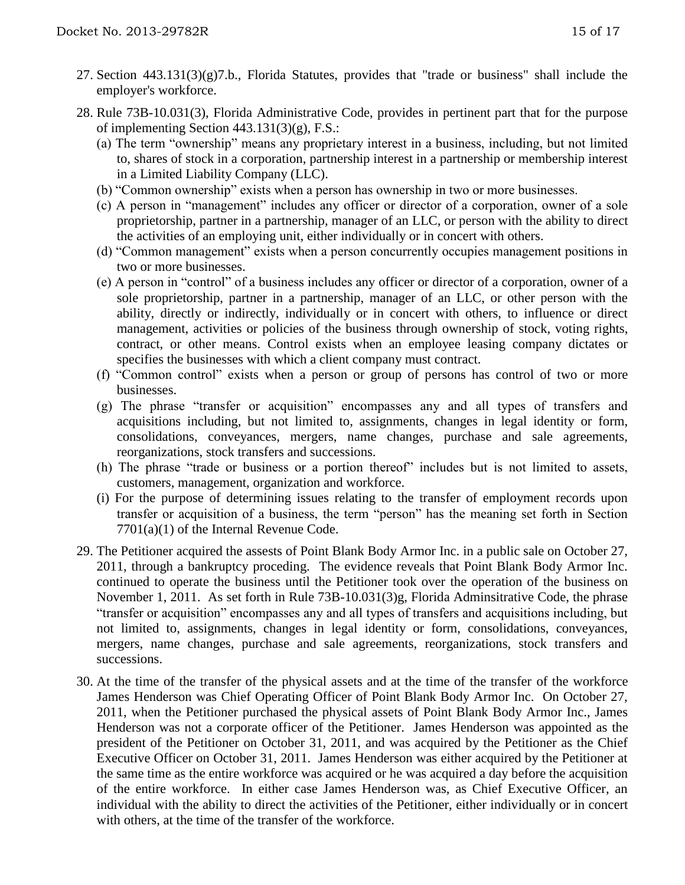- 27. Section 443.131(3)(g)7.b., Florida Statutes, provides that "trade or business" shall include the employer's workforce.
- 28. Rule 73B-10.031(3), Florida Administrative Code, provides in pertinent part that for the purpose of implementing Section 443.131(3)(g), F.S.:
	- (a) The term "ownership" means any proprietary interest in a business, including, but not limited to, shares of stock in a corporation, partnership interest in a partnership or membership interest in a Limited Liability Company (LLC).
	- (b) "Common ownership" exists when a person has ownership in two or more businesses.
	- (c) A person in "management" includes any officer or director of a corporation, owner of a sole proprietorship, partner in a partnership, manager of an LLC, or person with the ability to direct the activities of an employing unit, either individually or in concert with others.
	- (d) "Common management" exists when a person concurrently occupies management positions in two or more businesses.
	- (e) A person in "control" of a business includes any officer or director of a corporation, owner of a sole proprietorship, partner in a partnership, manager of an LLC, or other person with the ability, directly or indirectly, individually or in concert with others, to influence or direct management, activities or policies of the business through ownership of stock, voting rights, contract, or other means. Control exists when an employee leasing company dictates or specifies the businesses with which a client company must contract.
	- (f) "Common control" exists when a person or group of persons has control of two or more businesses.
	- (g) The phrase "transfer or acquisition" encompasses any and all types of transfers and acquisitions including, but not limited to, assignments, changes in legal identity or form, consolidations, conveyances, mergers, name changes, purchase and sale agreements, reorganizations, stock transfers and successions.
	- (h) The phrase "trade or business or a portion thereof" includes but is not limited to assets, customers, management, organization and workforce.
	- (i) For the purpose of determining issues relating to the transfer of employment records upon transfer or acquisition of a business, the term "person" has the meaning set forth in Section 7701(a)(1) of the Internal Revenue Code.
- 29. The Petitioner acquired the assests of Point Blank Body Armor Inc. in a public sale on October 27, 2011, through a bankruptcy proceding. The evidence reveals that Point Blank Body Armor Inc. continued to operate the business until the Petitioner took over the operation of the business on November 1, 2011. As set forth in Rule 73B-10.031(3)g, Florida Adminsitrative Code, the phrase "transfer or acquisition" encompasses any and all types of transfers and acquisitions including, but not limited to, assignments, changes in legal identity or form, consolidations, conveyances, mergers, name changes, purchase and sale agreements, reorganizations, stock transfers and successions.
- 30. At the time of the transfer of the physical assets and at the time of the transfer of the workforce James Henderson was Chief Operating Officer of Point Blank Body Armor Inc. On October 27, 2011, when the Petitioner purchased the physical assets of Point Blank Body Armor Inc., James Henderson was not a corporate officer of the Petitioner. James Henderson was appointed as the president of the Petitioner on October 31, 2011, and was acquired by the Petitioner as the Chief Executive Officer on October 31, 2011. James Henderson was either acquired by the Petitioner at the same time as the entire workforce was acquired or he was acquired a day before the acquisition of the entire workforce. In either case James Henderson was, as Chief Executive Officer, an individual with the ability to direct the activities of the Petitioner, either individually or in concert with others, at the time of the transfer of the workforce.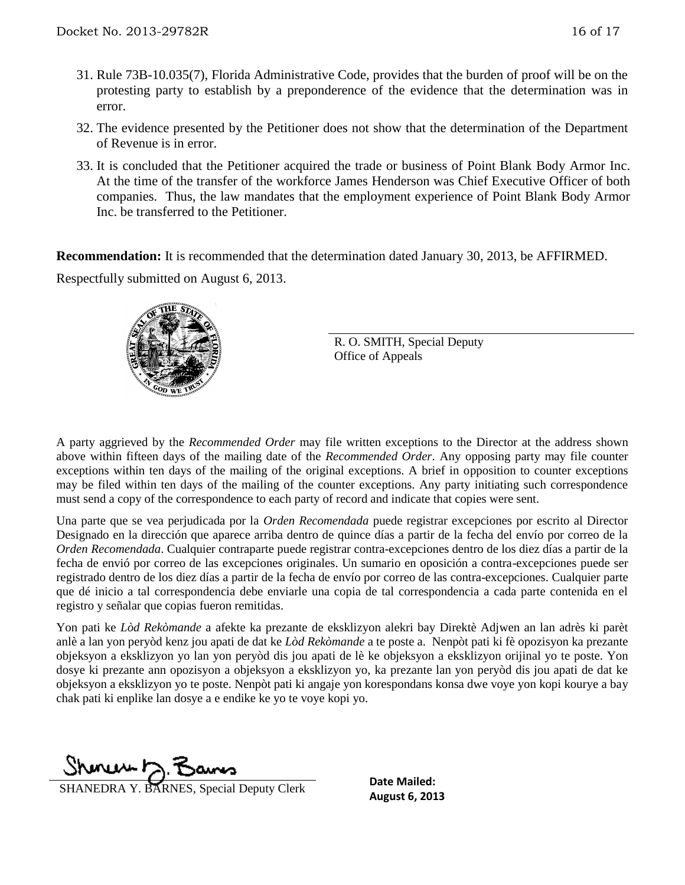- 31. Rule 73B-10.035(7), Florida Administrative Code, provides that the burden of proof will be on the protesting party to establish by a preponderence of the evidence that the determination was in error.
- 32. The evidence presented by the Petitioner does not show that the determination of the Department of Revenue is in error.
- 33. It is concluded that the Petitioner acquired the trade or business of Point Blank Body Armor Inc. At the time of the transfer of the workforce James Henderson was Chief Executive Officer of both companies. Thus, the law mandates that the employment experience of Point Blank Body Armor Inc. be transferred to the Petitioner.

**Recommendation:** It is recommended that the determination dated January 30, 2013, be AFFIRMED. Respectfully submitted on August 6, 2013.



R. O. SMITH, Special Deputy Office of Appeals

A party aggrieved by the *Recommended Order* may file written exceptions to the Director at the address shown above within fifteen days of the mailing date of the *Recommended Order*. Any opposing party may file counter exceptions within ten days of the mailing of the original exceptions. A brief in opposition to counter exceptions may be filed within ten days of the mailing of the counter exceptions. Any party initiating such correspondence must send a copy of the correspondence to each party of record and indicate that copies were sent.

Una parte que se vea perjudicada por la *Orden Recomendada* puede registrar excepciones por escrito al Director Designado en la dirección que aparece arriba dentro de quince días a partir de la fecha del envío por correo de la *Orden Recomendada*. Cualquier contraparte puede registrar contra-excepciones dentro de los diez días a partir de la fecha de envió por correo de las excepciones originales. Un sumario en oposición a contra-excepciones puede ser registrado dentro de los diez días a partir de la fecha de envío por correo de las contra-excepciones. Cualquier parte que dé inicio a tal correspondencia debe enviarle una copia de tal correspondencia a cada parte contenida en el registro y señalar que copias fueron remitidas.

Yon pati ke *Lòd Rekòmande* a afekte ka prezante de eksklizyon alekri bay Direktè Adjwen an lan adrès ki parèt anlè a lan yon peryòd kenz jou apati de dat ke *Lòd Rekòmande* a te poste a. Nenpòt pati ki fè opozisyon ka prezante objeksyon a eksklizyon yo lan yon peryòd dis jou apati de lè ke objeksyon a eksklizyon orijinal yo te poste. Yon dosye ki prezante ann opozisyon a objeksyon a eksklizyon yo, ka prezante lan yon peryòd dis jou apati de dat ke objeksyon a eksklizyon yo te poste. Nenpòt pati ki angaje yon korespondans konsa dwe voye yon kopi kourye a bay chak pati ki enplike lan dosye a e endike ke yo te voye kopi yo.

Shoner D. Bans

**SHANEDRA Y. BARNES, Special Deputy Clerk** Date Malled:<br>**August 6, 2013** 

**Date Mailed:**